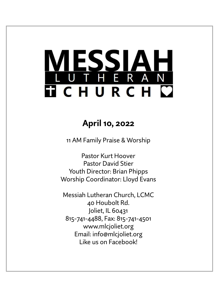# ESSIA THERAN **TICHURCH C**

# **April 10, 2022**

11 AM Family Praise & Worship

Pastor Kurt Hoover Pastor David Stier Youth Director: Brian Phipps Worship Coordinator: Lloyd Evans

Messiah Lutheran Church, LCMC 40 Houbolt Rd. Joliet, IL 60431 815-741-4488, Fax: 815-741-4501 www.mlcjoliet.org Email: info@mlcjoliet.org Like us on Facebook!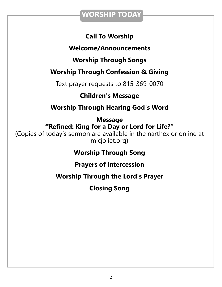### **WORSHIP TODAY**

### **Call To Worship**

### **Welcome/Announcements**

**Worship Through Songs**

### **Worship Through Confession & Giving**

Text prayer requests to 815-369-0070

### **Children's Message**

**Worship Through Hearing God's Word**

**Message "Refined: King for a Day or Lord for Life?"** (Copies of today's sermon are available in the narthex or online at mlcjoliet.org)

**Worship Through Song**

**Prayers of Intercession**

**Worship Through the Lord's Prayer**

**Closing Song**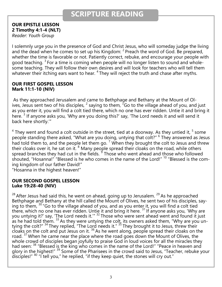### **SCRIPTURE READING**

#### **OUR EPISTLE LESSON 2 Timothy 4:1-4 (NLT)**

*Reader: Youth Group*

I solemnly urge you in the presence of God and Christ Jesus, who will someday judge the living and the dead when he comes to set up his Kingdom:  $2$  Preach the word of God. Be prepared, whether the time is favorable or not. Patiently correct, rebuke, and encourage your people with good teaching. <sup>3</sup> For a time is coming when people will no longer listen to sound and wholesome teaching. They will follow their own desires and will look for teachers who will tell them whatever their itching ears want to hear. <sup>4</sup> They will reject the truth and chase after myths.

#### **OUR FIRST GOSPEL LESSON Mark 11:1-10 (NIV)**

As they approached Jerusalem and came to Bethphage and Bethany at the Mount of Olives, Jesus sent two of his disciples,  $^2$  saying to them,  $\tilde{f}$  Go to the village ahead of you, and just as you enter it, you will find a colt tied there, which no one has ever ridden. Untie it and bring it here.<sup>3</sup> If anyone asks you, 'Why are you doing this?' say, 'The Lord needs it and will send it back here shortly.'"

 $^4$  They went and found a colt outside in the street, tied at a doorway. As they untied it,  $^5$  some people standing there asked, "What are you doing, untying that colt?" <sup>6</sup> They answered as Jesus had told them to, and the people let them go. <sup>7</sup> When they brought the colt to Jesus and threw their cloaks over it, he sat on it. <sup>8</sup> Many people spread their cloaks on the road, while others spread branches they had cut in the fields.  $<sup>9</sup>$  Those who went ahead and those who followed</sup> shouted, "Hosanna!" "Blessed is he who comes in the name of the Lord!" <sup>10</sup> "Blessed is the coming kingdom of our father David!"

"Hosanna in the highest heaven!"

#### **OUR SECOND GOSPEL LESSON Luke 19:28-40 (NIV)**

 $28$  After Jesus had said this, he went on ahead, going up to Jerusalem.  $29$  As he approached Bethphage and Bethany at the hill called the Mount of Olives, he sent two of his disciples, saying to them,  $30\degree$  Go to the village ahead of you, and as you enter it, you will find a colt tied there, which no one has ever ridden. Untie it and bring it here.  $31$  If anyone asks you, 'Why are you untying it?' say, 'The Lord needs it.'" <sup>32</sup> Those who were sent ahead went and found it just as he had told them.  $33$  As they were untying the colt, its owners asked them, "Why are you untying the colt?" <sup>34</sup> They replied, "The Lord needs it." <sup>35</sup> They brought it to Jesus, threw their cloaks on the colt and put Jesus on it.<sup>36</sup> As he went along, people spread their cloaks on the road.<sup>37</sup> When he came near the place where the road goes down the Mount of Olives, the whole crowd of disciples began joyfully to praise God in loud voices for all the miracles they had seen: <sup>38</sup> "Blessed is the king who comes in the name of the Lord!" "Peace in heaven and glory in the highest!" <sup>39</sup> Some of the Pharisees in the crowd said to Jesus, "Teacher, rebuke your disciples!" <sup>40</sup> "I tell you," he replied, "if they keep quiet, the stones will cry out."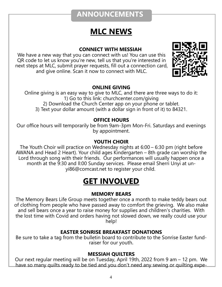## **ANNOUNCEMENTS**

# **MLC NEWS**

#### **CONNECT WITH MESSIAH**

We have a new way that you can connect with us! You can use this QR code to let us know you're new, tell us that you're interested in next steps at MLC, submit prayer requests, fill out a connection card, and give online. Scan it now to connect with MLC.



#### **ONLINE GIVING**

Online giving is an easy way to give to MLC, and there are three ways to do it: 1) Go to this link: churchcenter.com/giving 2) Download the Church Center app on your phone or tablet. 3) Text your dollar amount (with a dollar sign in front of it) to 84321.

#### **OFFICE HOURS**

Our office hours will temporarily be from 9am-3pm Mon-Fri. Saturdays and evenings by appointment.

#### **YOUTH CHOIR**

The Youth Choir will practice on Wednesday nights at 6:00 – 6:30 pm (right before AWANA and Head 2 Heart). Your child ages Kindergarten – 8th grade can worship the Lord through song with their friends. Our performances will usually happen once a month at the 9:30 and ll:00 Sunday services. Please email Sherri Unyi at unyi86@comcast.net to register your child.

# **GET INVOLVED**

#### **MEMORY BEARS**

The Memory Bears Life Group meets together once a month to make teddy bears out of clothing from people who have passed away to comfort the grieving. We also make and sell bears once a year to raise money for supplies and children's charities. With the lost time with Covid and orders having not slowed down, we really could use your help!

#### **EASTER SONRISE BREAKFAST DONATIONS**

Be sure to take a tag from the bulletin board to contribute to the Sonrise Easter fundraiser for our youth.

#### **MESSIAH QUILTERS**

Our next regular meeting will be on Tuesday, April 19th, 2022 from 9 am – 12 pm. We have so many quilts ready to be tied and you don't need any sewing or quilting expe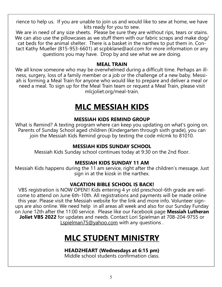rience to help us. If you are unable to join us and would like to sew at home, we have kits ready for you to sew.

We are in need of any size sheets. Please be sure they are without rips, tears or stains. We can also use the pillowcases as we stuff them with our fabric scraps and make dog/ cat beds for the animal shelter. There is a basket in the narthex to put them in. Contact Kathy Mueller (815-953-6601) at scpbklane@aol.com for more information or any questions you may have. Drop by and see what we are doing.

#### **MEAL TRAIN**

We all know someone who may be overwhelmed during a difficult time. Perhaps an illness, surgery, loss of a family member or a job or the challenge of a new baby. Messiah is forming a Meal Train for anyone who would like to prepare and deliver a meal or need a meal. To sign up for the Meal Train team or request a Meal Train, please visit mlcjoliet.org/meal-train.

# **MLC MESSIAH KIDS**

#### **MESSIAH KIDS REMIND GROUP**

What is Remind? A texting program where can keep you updating on what's going on. Parents of Sunday School aged children (Kindergarten through sixth grade), you can join the Messiah Kids Remind group by texting the code mlcmk to 81010.

#### **MESSIAH KIDS SUNDAY SCHOOL**

Messiah Kids Sunday school continues today at 9:30 on the 2nd floor.

#### **MESSIAH KIDS SUNDAY 11 AM**

Messiah Kids happens during the 11 am service, right after the children's message. Just sign in at the kiosk in the narthex.

#### **VACATION BIBLE SCHOOL IS BACK!**

VBS registration is NOW OPEN!! Kids entering 4 yr old preschool-6th grade are welcome to attend on June 6th-10th. All registrations and payments will be made online this year. Please visit the Messiah website for the link and more info. Volunteer signups are also online. We need help in all areas all week and also for our Sunday Funday on June 12th after the 11:00 service. Please like our Facebook page **Messiah Lutheran Joliet VBS 2022** for updates and needs. Contact Lori Spielman at 708-204-9755 or [Lspielman75@yahoo.com](mailto:Lspielman75@yahoo.com) with any questions.

# **MLC STUDENT MINISTRY**

#### **HEAD2HEART (Wednesdays at 6:15 pm)**

Middle school students confirmation class.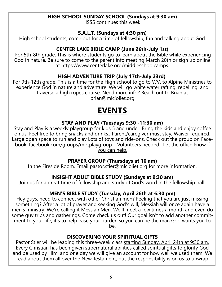#### **HIGH SCHOOL SUNDAY SCHOOL (Sundays at 9:30 am)**

HSSS continues this week.

#### **S.A.L.T. (Sundays at 4:30 pm)**

High school students, come out for a time of fellowship, fun and talking about God.

#### **CENTER LAKE BIBLE CAMP (June 26th-July 1st)**

For 5th-8th grade. This is where students go to learn about the Bible while experiencing God in nature. Be sure to come to the parent info meeting March 20th or sign up online at https://www.centerlake.org/middleschoolcamps.

#### **HIGH ADVENTURE TRIP (July 17th-July 23rd)**

For 9th-12th grade. This is a time for the High school to go to WV. to Alpine Ministries to experience God in nature and adventure. We will go white water rafting, repelling, and traverse a high ropes course. Need more info? Reach out to Brian at brian@mlcjoliet.org

# **EVENTS**

#### **STAY AND PLAY (Tuesdays 9:30 -11:30 am)**

Stay and Play is a weekly playgroup for kids 5 and under. Bring the kids and enjoy coffee on us, Feel free to bring snacks and drinks., Parent/caregiver must stay, Waiver required. Large open space to run and play Lots of toys and ride-ons. Check out the group on Facebook: facebook.com/groups/mlc.playgroup . Volunteers needed. Let the office know if you can help.

#### **PRAYER GROUP (Thursdays at 10 am)**

In the Fireside Room. Email pastor.stier@mlcjoliet.org for more information.

#### **INSIGHT ADULT BIBLE STUDY (Sundays at 9:30 am)**

Join us for a great time of fellowship and study of God's word in the fellowship hall.

#### **MEN'S BIBLE STUDY (Tuesday, April 26th at 6:30 pm)**

Hey guys, need to connect with other Christian men? Feeling that you are just missing something? After a lot of prayer and seeking God's will, Messiah will once again have a men's ministry. We're calling it Messiah Men. We'll meet a few times a month and even do some guy trips and gatherings. Come check us out! Our goal isn't to add another commitment to your life; it's to help ease your burden so you can be the man God wants you to be.

#### **DISCOVERING YOUR SPIRITUAL GIFTS**

Pastor Stier will be leading this three-week class starting Sunday, April 24th at 9:30 am. Every Christian has been given supernatural abilities called spiritual gifts to glorify God and be used by Him, and one day we will give an account for how well we used them. We read about them all over the New Testament, but the responsibility is on us to unwrap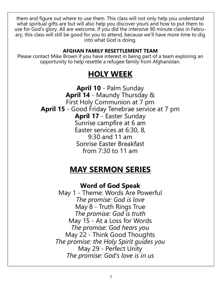them and figure out where to use them. This class will not only help you understand what spiritual gifts are but will also help you discover yours and how to put them to use for God's glory. All are welcome. If you did the intensive 90 minute class in February, this class will still be good for you to attend, because we'll have more time to dig into what God is doing.

#### **AFGHAN FAMILY RESETTLEMENT TEAM**

Please contact Mike Brown if you have interest in being part of a team exploring an opportunity to help resettle a refugee family from Afghanistan.

# **HOLY WEEK**

**April 10** - Palm Sunday **April 14** - Maundy Thursday & First Holy Communion at 7 pm **April 15** - Good Friday Tenebrae service at 7 pm **April 17** - Easter Sunday Sunrise campfire at 6 am Easter services at 6:30, 8, 9:30 and 11 am Sonrise Easter Breakfast from 7:30 to 11 am

## **MAY SERMON SERIES**

**Word of God Speak**

May 1 - Theme: Words Are Powerful *The promise: God is love* May 8 - Truth Rings True *The promise: God is truth* May 15 - At a Loss for Words *The promise: God hears you* May 22 - Think Good Thoughts *The promise: the Holy Spirit guides you* May 29 - Perfect Unity *The promise: God's love is in us*